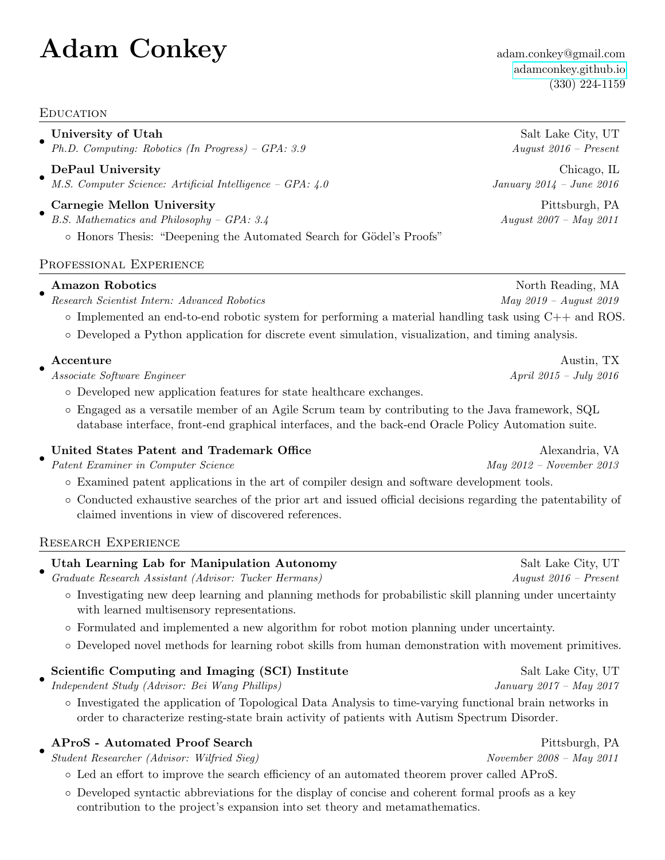# $\mathbf{Adam}$   $\mathbf{Conkey}$  adam.conkey@gmail.com

**EDUCATION** 

• University of Utah Salt Lake City, UT

Ph.D. Computing: Robotics (In Progress) – GPA: 3.9 August 2016 – Present

- DePaul University Chicago, IL M.S. Computer Science: Artificial Intelligence – GPA: 4.0 January 2014 – June 2016
- Carnegie Mellon University Pittsburgh, PA
- B.S. Mathematics and Philosophy GPA: 3.4 August 2007 May 2011
	- Honors Thesis: "Deepening the Automated Search for G¨odel's Proofs"

# PROFESSIONAL EXPERIENCE

# •

- Research Scientist Intern: Advanced Robotics May 2019 August 2019 August 2019
	- Implemented an end-to-end robotic system for performing a material handling task using C++ and ROS.
	- Developed a Python application for discrete event simulation, visualization, and timing analysis.

# •

Associate Software Engineer April 2015 – July 2016

- Developed new application features for state healthcare exchanges.
- Engaged as a versatile member of an Agile Scrum team by contributing to the Java framework, SQL database interface, front-end graphical interfaces, and the back-end Oracle Policy Automation suite.

#### • United States Patent and Trademark Office Alexandria, VA

Patent Examiner in Computer Science May 2012 – November 2013

- Examined patent applications in the art of compiler design and software development tools.
- Conducted exhaustive searches of the prior art and issued official decisions regarding the patentability of claimed inventions in view of discovered references.

# Research Experience

#### • Utah Learning Lab for Manipulation Autonomy Salt Lake City, UT

- Graduate Research Assistant (Advisor: Tucker Hermans) August 2016 Present
	- Investigating new deep learning and planning methods for probabilistic skill planning under uncertainty with learned multisensory representations.
	- Formulated and implemented a new algorithm for robot motion planning under uncertainty.
	- Developed novel methods for learning robot skills from human demonstration with movement primitives.

#### • Scientific Computing and Imaging (SCI) Institute Salt Lake City, UT

Independent Study (Advisor: Bei Wang Phillips) January 2017 – May 2017

◦ Investigated the application of Topological Data Analysis to time-varying functional brain networks in order to characterize resting-state brain activity of patients with Autism Spectrum Disorder.

#### • AProS - Automated Proof Search Pittsburgh, PA

Student Researcher (Advisor: Wilfried Sieg) November 2008 – May 2011

- Led an effort to improve the search efficiency of an automated theorem prover called AProS.
- Developed syntactic abbreviations for the display of concise and coherent formal proofs as a key contribution to the project's expansion into set theory and metamathematics.

<adamconkey.github.io> (330) 224-1159

Amazon Robotics North Reading, MA

Accenture Austin, TX